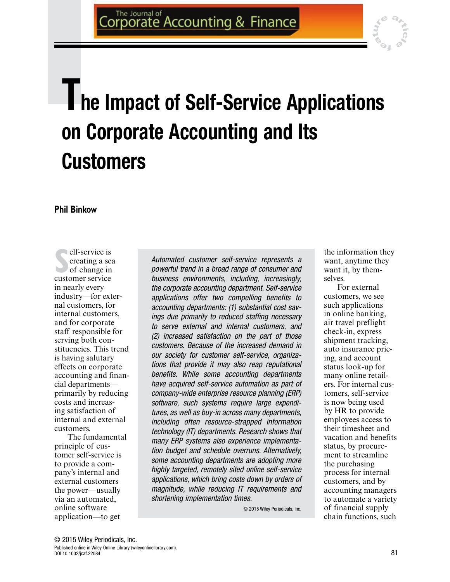

# **The Impact of Self‐Service Applications on Corporate Accounting and Its Customers**

**Phil Binkow**

**S**creating a sea<br>
of change in<br>
customer service elf‐service is creating a sea of change in in nearly every industry—for external customers, for internal customers, and for corporate staff responsible for serving both constituencies. This trend is having salutary effects on corporate accounting and financial departments primarily by reducing costs and increasing satisfaction of internal and external customers.

The fundamental principle of customer self‐service is to provide a company's internal and external customers the power—usually via an automated, online software application—to get

Automated customer self‐service represents a powerful trend in a broad range of consumer and business environments, including, increasingly, the corporate accounting department. Self‐ service applications offer two compelling benefits to accounting departments: (1) substantial cost savings due primarily to reduced staffing necessary to serve external and internal customers, and (2) increased satisfaction on the part of those customers. Because of the increased demand in our society for customer self‐service, organizations that provide it may also reap reputational benefits. While some accounting departments have acquired self‐service automation as part of company‐wide enterprise resource planning (ERP) software, such systems require large expenditures, as well as buy‐in across many departments, including often resource‐strapped information technology (IT) departments. Research shows that many ERP systems also experience implementation budget and schedule overruns. Alternatively, some accounting departments are adopting more highly targeted, remotely sited online self‐service applications, which bring costs down by orders of magnitude, while reducing IT requirements and shortening implementation times.

© 2015 Wiley Periodicals, Inc.

the information they want, anytime they want it, by themselves.

For external customers, we see such applications in online banking, air travel preflight check‐in, express shipment tracking, auto insurance pricing, and account status look‐up for many online retailers. For internal customers, self‐service is now being used by HR to provide employees access to their timesheet and vacation and benefits status, by procurement to streamline the purchasing process for internal customers, and by accounting managers to automate a variety of financial supply chain functions, such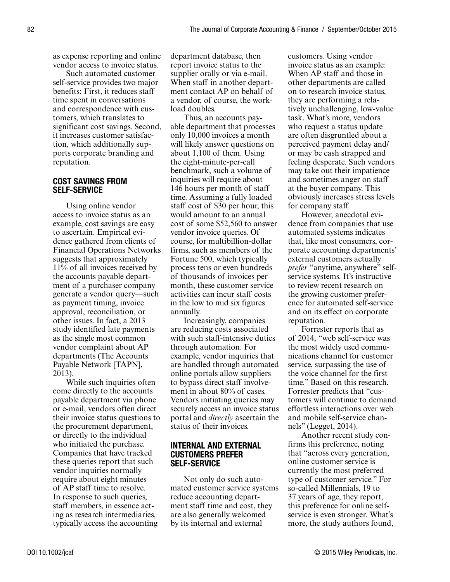as expense reporting and online vendor access to invoice status.

Such automated customer self‐service provides two major benefits: First, it reduces staff time spent in conversations and correspondence with customers, which translates to significant cost savings. Second, it increases customer satisfaction, which additionally supports corporate branding and reputation.

### COST SAVINGS FROM SELF‐SERVICE

Using online vendor access to invoice status as an example, cost savings are easy to ascertain. Empirical evidence gathered from clients of Financial Operations Networks suggests that approximately 11% of all invoices received by the accounts payable department of a purchaser company generate a vendor query—such as payment timing, invoice approval, reconciliation, or other issues. In fact, a 2013 study identified late payments as the single most common vendor complaint about AP departments (The Accounts Payable Network [TAPN], 2013).

While such inquiries often come directly to the accounts payable department via phone or e‐mail, vendors often direct their invoice status questions to the procurement department, or directly to the individual who initiated the purchase. Companies that have tracked these queries report that such vendor inquiries normally require about eight minutes of AP staff time to resolve. In response to such queries, staff members, in essence acting as research intermediaries, typically access the accounting

department database, then report invoice status to the supplier orally or via e-mail. When staff in another department contact AP on behalf of a vendor, of course, the workload doubles.

Thus, an accounts payable department that processes only 10,000 invoices a month will likely answer questions on about 1,100 of them. Using the eight‐minute‐per‐call benchmark, such a volume of inquiries will require about 146 hours per month of staff time. Assuming a fully loaded staff cost of \$30 per hour, this would amount to an annual cost of some \$52,560 to answer vendor invoice queries. Of course, for multibillion‐dollar firms, such as members of the Fortune 500, which typically process tens or even hundreds of thousands of invoices per month, these customer service activities can incur staff costs in the low to mid six figures annually.

Increasingly, companies are reducing costs associated with such staff‐intensive duties through automation. For example, vendor inquiries that are handled through automated online portals allow suppliers to bypass direct staff involvement in about 80% of cases. Vendors initiating queries may securely access an invoice status portal and *directly* ascertain the status of their invoices.

#### INTERNAL AND EXTERNAL CUSTOMERS PREFER SELF‐SERVICE

Not only do such automated customer service systems reduce accounting department staff time and cost, they are also generally welcomed by its internal and external

customers. Using vendor invoice status as an example: When AP staff and those in other departments are called on to research invoice status, they are performing a relatively unchallenging, low‐value task. What's more, vendors who request a status update are often disgruntled about a perceived payment delay and/ or may be cash strapped and feeling desperate. Such vendors may take out their impatience and sometimes anger on staff at the buyer company. This obviously increases stress levels for company staff.

However, anecdotal evidence from companies that use automated systems indicates that, like most consumers, corporate accounting departments' external customers actually *prefer* "anytime, anywhere" selfservice systems. It's instructive to review recent research on the growing customer preference for automated self‐service and on its effect on corporate reputation.

Forrester reports that as of 2014, "web self‐service was the most widely used communications channel for customer service, surpassing the use of the voice channel for the first time." Based on this research, Forrester predicts that "customers will continue to demand effortless interactions over web and mobile self‐service channels" (Legget, 2014).

Another recent study confirms this preference, noting that "across every generation, online customer service is currently the most preferred type of customer service." For so‐called Millennials, 19 to 37 years of age, they report, this preference for online self‐ service is even stronger. What's more, the study authors found,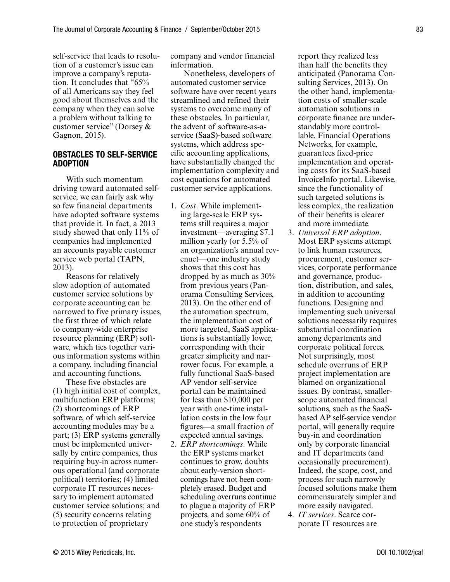self‐service that leads to resolution of a customer's issue can improve a company's reputation. It concludes that "65% of all Americans say they feel good about themselves and the company when they can solve a problem without talking to customer service" (Dorsey & Gagnon, 2015).

### OBSTACLES TO SELF‐SERVICE ADOPTION

With such momentum driving toward automated self‐ service, we can fairly ask why so few financial departments have adopted software systems that provide it. In fact, a 2013 study showed that only 11% of companies had implemented an accounts payable customer service web portal (TAPN, 2013).

Reasons for relatively slow adoption of automated customer service solutions by corporate accounting can be narrowed to five primary issues, the first three of which relate to company‐wide enterprise resource planning (ERP) software, which ties together various information systems within a company, including financial and accounting functions.

These five obstacles are (1) high initial cost of complex, multifunction ERP platforms; (2) shortcomings of ERP software, of which self‐service accounting modules may be a part; (3) ERP systems generally must be implemented universally by entire companies, thus requiring buy‐in across numerous operational (and corporate political) territories; (4) limited corporate IT resources necessary to implement automated customer service solutions; and (5) security concerns relating to protection of proprietary

company and vendor financial information.

Nonetheless, developers of automated customer service software have over recent years streamlined and refined their systems to overcome many of these obstacles. In particular, the advent of software‐as‐a‐ service (SaaS)‐based software systems, which address specific accounting applications, have substantially changed the implementation complexity and cost equations for automated customer service applications.

- 1. *Cost*. While implementing large‐scale ERP systems still requires a major investment—averaging \$7.1 million yearly (or 5.5% of an organization's annual revenue)—one industry study shows that this cost has dropped by as much as 30% from previous years (Panorama Consulting Services, 2013). On the other end of the automation spectrum, the implementation cost of more targeted, SaaS applications is substantially lower, corresponding with their greater simplicity and narrower focus. For example, a fully functional SaaS‐based AP vendor self‐service portal can be maintained for less than \$10,000 per year with one‐time installation costs in the low four figures—a small fraction of expected annual savings.
- 2. *ERP shortcomings*. While the ERP systems market continues to grow, doubts about early‐version shortcomings have not been completely erased. Budget and scheduling overruns continue to plague a majority of ERP projects, and some 60% of one study's respondents

report they realized less than half the benefits they anticipated (Panorama Consulting Services, 2013). On the other hand, implementation costs of smaller‐scale automation solutions in corporate finance are understandably more controllable. Financial Operations Networks, for example, guarantees fixed‐price implementation and operating costs for its SaaS‐based InvoiceInfo portal. Likewise, since the functionality of such targeted solutions is less complex, the realization of their benefits is clearer and more immediate.

- 3. *Universal ERP adoption*. Most ERP systems attempt to link human resources, procurement, customer services, corporate performance and governance, production, distribution, and sales, in addition to accounting functions. Designing and implementing such universal solutions necessarily requires substantial coordination among departments and corporate political forces. Not surprisingly, most schedule overruns of ERP project implementation are blamed on organizational issues. By contrast, smaller‐ scope automated financial solutions, such as the SaaS‐ based AP self‐service vendor portal, will generally require buy‐in and coordination only by corporate financial and IT departments (and occasionally procurement). Indeed, the scope, cost, and process for such narrowly focused solutions make them commensurately simpler and more easily navigated.
- 4. *IT services*. Scarce corporate IT resources are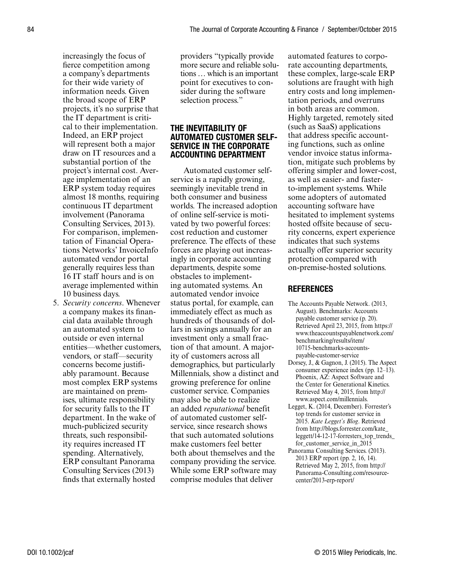increasingly the focus of fierce competition among a company's departments for their wide variety of information needs. Given the broad scope of ERP projects, it's no surprise that the IT department is critical to their implementation. Indeed, an ERP project will represent both a major draw on IT resources and a substantial portion of the project's internal cost. Average implementation of an ERP system today requires almost 18 months, requiring continuous IT department involvement (Panorama Consulting Services, 2013). For comparison, implementation of Financial Operations Networks' InvoiceInfo automated vendor portal generally requires less than 16 IT staff hours and is on average implemented within 10 business days.

5. *Security concerns*. Whenever a company makes its financial data available through an automated system to outside or even internal entities—whether customers, vendors, or staff—security concerns become justifiably paramount. Because most complex ERP systems are maintained on premises, ultimate responsibility for security falls to the IT department. In the wake of much‐publicized security threats, such responsibility requires increased IT spending. Alternatively, ERP consultant Panorama Consulting Services (2013) finds that externally hosted

providers "typically provide more secure and reliable solutions … which is an important point for executives to consider during the software selection process."

#### THE INEVITABILITY OF AUTOMATED CUSTOMER SELF‐ SERVICE IN THE CORPORATE ACCOUNTING DEPARTMENT

Automated customer self‐ service is a rapidly growing, seemingly inevitable trend in both consumer and business worlds. The increased adoption of online self‐service is motivated by two powerful forces: cost reduction and customer preference. The effects of these forces are playing out increasingly in corporate accounting departments, despite some obstacles to implementing automated systems. An automated vendor invoice status portal, for example, can immediately effect as much as hundreds of thousands of dollars in savings annually for an investment only a small fraction of that amount. A majority of customers across all demographics, but particularly Millennials, show a distinct and growing preference for online customer service. Companies may also be able to realize an added *reputational* benefit of automated customer self‐ service, since research shows that such automated solutions make customers feel better both about themselves and the company providing the service. While some ERP software may comprise modules that deliver

automated features to corporate accounting departments, these complex, large‐scale ERP solutions are fraught with high entry costs and long implementation periods, and overruns in both areas are common. Highly targeted, remotely sited (such as SaaS) applications that address specific accounting functions, such as online vendor invoice status information, mitigate such problems by offering simpler and lower‐cost, as well as easier‐ and faster‐ to‐implement systems. While some adopters of automated accounting software have hesitated to implement systems hosted offsite because of security concerns, expert experience indicates that such systems actually offer superior security protection compared with on‐premise‐hosted solutions.

## **REFERENCES**

- The Accounts Payable Network. (2013, August). Benchmarks: Accounts payable customer service (p. 20). Retrieved April 23, 2015, from https:// www.theaccountspayablenetwork.com/ benchmarking/results/item/ 10715-benchmarks-accountspayable-customer-service
- Dorsey, J., & Gagnon, J. (2015). The Aspect consumer experience index (pp. 12–13). Phoenix, AZ: Aspect Software and the Center for Generational Kinetics. Retrieved May 4, 2015, from http:// www.aspect.com/millennials.
- Legget, K. (2014, December). Forrester's top trends for customer service in 2015. *Kate Legget's Blog*. Retrieved from http://blogs.forrester.com/kate\_ leggett/14-12-17-forresters\_top\_trends\_ for\_customer\_service\_in\_2015
- Panorama Consulting Services. (2013). 2013 ERP report (pp. 2, 16, 14). Retrieved May 2, 2015, from http:// Panorama-Consulting.com/resourcecenter/2013-erp-report/